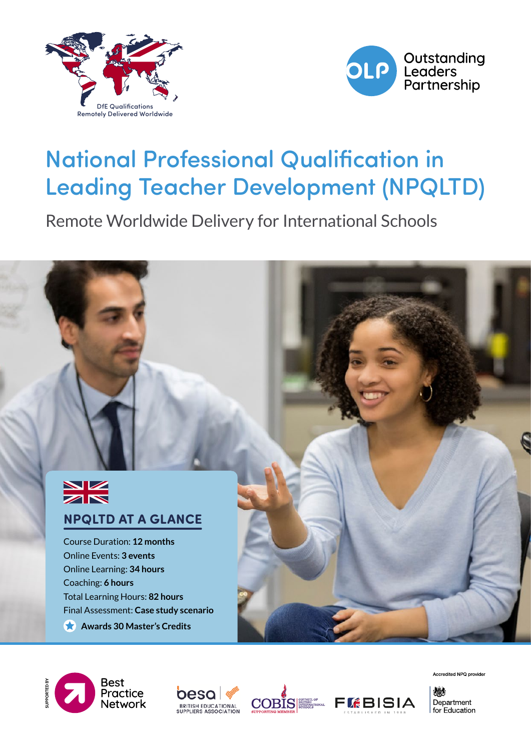



# National Professional Qualification in Leading Teacher Development (NPQLTD)

Remote Worldwide Delivery for International Schools











Accredited NPQ provider

燃料 Department for Education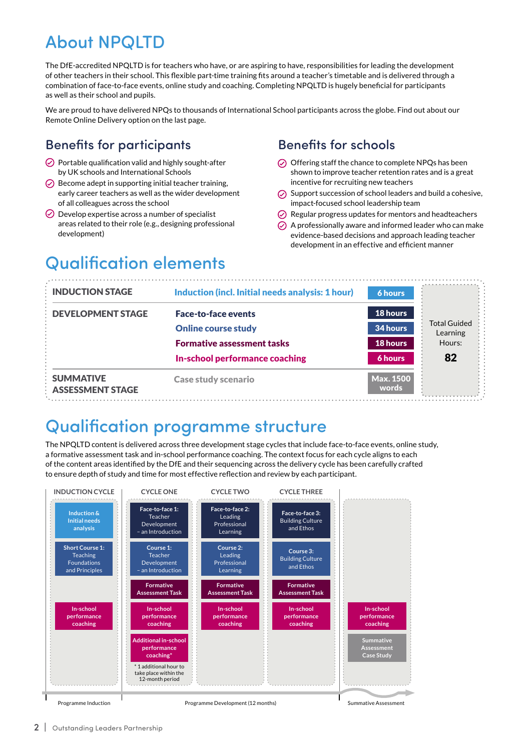## About NPQLTD

The DfE-accredited NPQLTD is for teachers who have, or are aspiring to have, responsibilities for leading the development of other teachers in their school. This flexible part-time training fits around a teacher's timetable and is delivered through a combination of face-to-face events, online study and coaching. Completing NPQLTD is hugely beneficial for participants as well as their school and pupils.

We are proud to have delivered NPQs to thousands of International School participants across the globe. Find out about our Remote Online Delivery option on the last page.

#### Benefits for participants

- $\oslash$  Portable qualification valid and highly sought-after by UK schools and International Schools
- $\odot$  Become adept in supporting initial teacher training. early career teachers as well as the wider development of all colleagues across the school
- $\odot$  Develop expertise across a number of specialist areas related to their role (e.g., designing professional development)

#### Benefits for schools

- $\odot$  Offering staff the chance to complete NPQs has been shown to improve teacher retention rates and is a great incentive for recruiting new teachers
- $\odot$  Support succession of school leaders and build a cohesive. impact-focused school leadership team
- $\odot$  Regular progress updates for mentors and headteachers
- $\odot$  A professionally aware and informed leader who can make evidence-based decisions and approach leading teacher development in an effective and efficient manner

## Qualification elements

| <b>INDUCTION STAGE</b>                      | Induction (incl. Initial needs analysis: 1 hour) | <b>6 hours</b>            |                                 |
|---------------------------------------------|--------------------------------------------------|---------------------------|---------------------------------|
| <b>DEVELOPMENT STAGE</b>                    | <b>Face-to-face events</b>                       | 18 hours                  |                                 |
|                                             | <b>Online course study</b>                       | 34 hours                  | <b>Total Guided</b><br>Learning |
|                                             | <b>Formative assessment tasks</b>                | 18 hours                  | Hours:                          |
|                                             | In-school performance coaching                   | 6 hours                   | 82                              |
| <b>SUMMATIVE</b><br><b>ASSESSMENT STAGE</b> | <b>Case study scenario</b>                       | <b>Max. 1500</b><br>words |                                 |

### Qualification programme structure

The NPQLTD content is delivered across three development stage cycles that include face-to-face events, online study, a formative assessment task and in-school performance coaching. The context focus for each cycle aligns to each of the content areas identified by the DfE and their sequencing across the delivery cycle has been carefully crafted to ensure depth of study and time for most effective reflection and review by each participant.



2 | Outstanding Leaders Partnership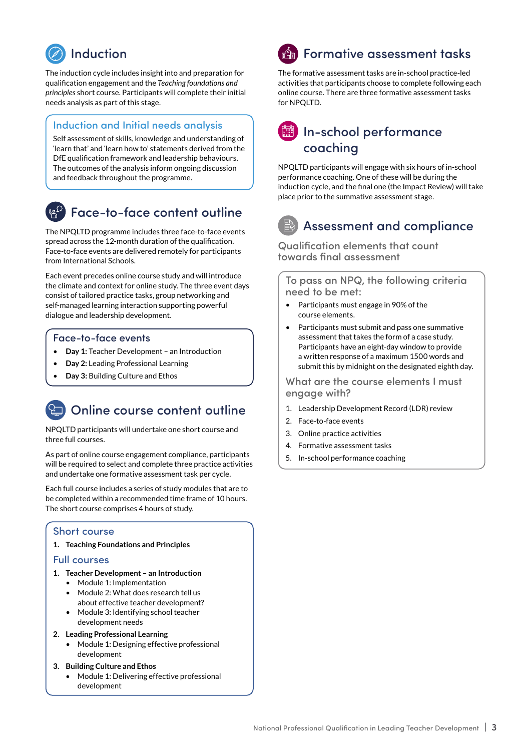

The induction cycle includes insight into and preparation for qualification engagement and the *Teaching foundations and principles* short course. Participants will complete their initial needs analysis as part of this stage.

#### Induction and Initial needs analysis

Self assessment of skills, knowledge and understanding of 'learn that' and 'learn how to' statements derived from the DfE qualification framework and leadership behaviours. The outcomes of the analysis inform ongoing discussion and feedback throughout the programme.

#### Face-to-face content outline

The NPQLTD programme includes three face-to-face events spread across the 12-month duration of the qualification. Face-to-face events are delivered remotely for participants from International Schools.

Each event precedes online course study and will introduce the climate and context for online study. The three event days consist of tailored practice tasks, group networking and self-managed learning interaction supporting powerful dialogue and leadership development.

#### Face-to-face events

- **Day 1:** Teacher Development an Introduction
- **Day 2:** Leading Professional Learning
- **Day 3:** Building Culture and Ethos

### Online course content outline

NPQLTD participants will undertake one short course and three full courses.

As part of online course engagement compliance, participants will be required to select and complete three practice activities and undertake one formative assessment task per cycle.

Each full course includes a series of study modules that are to be completed within a recommended time frame of 10 hours. The short course comprises 4 hours of study.

#### Short course

**1. Teaching Foundations and Principles**

#### Full courses

- **1. Teacher Development an Introduction**
	- Module 1: Implementation
	- Module 2: What does research tell us about effective teacher development?
	- Module 3: Identifying school teacher development needs
- **2. Leading Professional Learning**
	- Module 1: Designing effective professional development
- **3. Building Culture and Ethos**
	- Module 1: Delivering effective professional development

## **ी Formative assessment tasks**

The formative assessment tasks are in-school practice-led activities that participants choose to complete following each online course. There are three formative assessment tasks for NPQLTD.

#### In-school performance coaching

NPQLTD participants will engage with six hours of in-school performance coaching. One of these will be during the induction cycle, and the final one (the Impact Review) will take place prior to the summative assessment stage.

#### Assessment and compliance

Qualification elements that count towards final assessment

To pass an NPQ, the following criteria need to be met:

- Participants must engage in 90% of the course elements.
- Participants must submit and pass one summative assessment that takes the form of a case study. Participants have an eight-day window to provide a written response of a maximum 1500 words and submit this by midnight on the designated eighth day.

What are the course elements I must engage with?

- 1. Leadership Development Record (LDR) review
- 2. Face-to-face events
- 3. Online practice activities
- 4. Formative assessment tasks
- 5. In-school performance coaching